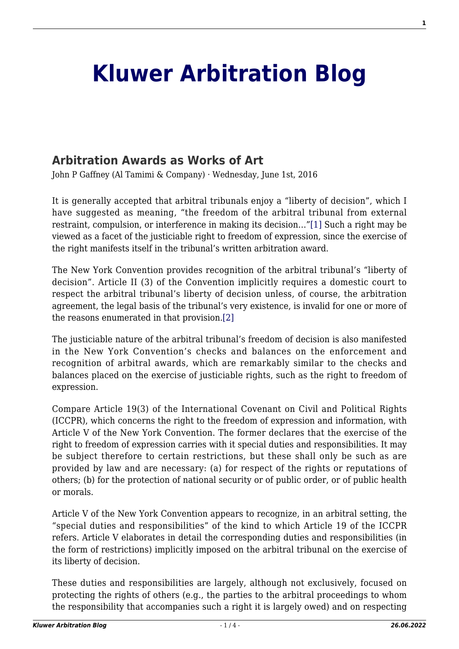## **[Kluwer Arbitration Blog](http://arbitrationblog.kluwerarbitration.com/)**

## **[Arbitration Awards as Works of Art](http://arbitrationblog.kluwerarbitration.com/2016/06/01/arbitration-awards-as-works-of-art/)**

John P Gaffney (Al Tamimi & Company) · Wednesday, June 1st, 2016

<span id="page-0-0"></span>It is generally accepted that arbitral tribunals enjoy a "liberty of decision", which I have suggested as meaning, "the freedom of the arbitral tribunal from external restraint, compulsion, or interference in making its decision…"[\[1\]](#page-2-0) Such a right may be viewed as a facet of the justiciable right to freedom of expression, since the exercise of the right manifests itself in the tribunal's written arbitration award.

The New York Convention provides recognition of the arbitral tribunal's "liberty of decision". Article II (3) of the Convention implicitly requires a domestic court to respect the arbitral tribunal's liberty of decision unless, of course, the arbitration agreement, the legal basis of the tribunal's very existence, is invalid for one or more of the reasons enumerated in that provision.[\[2\]](#page-2-1)

<span id="page-0-1"></span>The justiciable nature of the arbitral tribunal's freedom of decision is also manifested in the New York Convention's checks and balances on the enforcement and recognition of arbitral awards, which are remarkably similar to the checks and balances placed on the exercise of justiciable rights, such as the right to freedom of expression.

Compare Article 19(3) of the International Covenant on Civil and Political Rights (ICCPR), which concerns the right to the freedom of expression and information, with Article V of the New York Convention. The former declares that the exercise of the right to freedom of expression carries with it special duties and responsibilities. It may be subject therefore to certain restrictions, but these shall only be such as are provided by law and are necessary: (a) for respect of the rights or reputations of others; (b) for the protection of national security or of public order, or of public health or morals.

Article V of the New York Convention appears to recognize, in an arbitral setting, the "special duties and responsibilities" of the kind to which Article 19 of the ICCPR refers. Article V elaborates in detail the corresponding duties and responsibilities (in the form of restrictions) implicitly imposed on the arbitral tribunal on the exercise of its liberty of decision.

These duties and responsibilities are largely, although not exclusively, focused on protecting the rights of others (e.g., the parties to the arbitral proceedings to whom the responsibility that accompanies such a right it is largely owed) and on respecting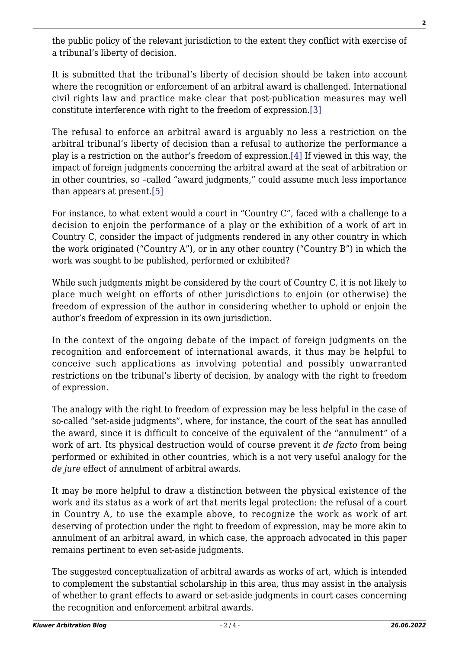the public policy of the relevant jurisdiction to the extent they conflict with exercise of a tribunal's liberty of decision.

It is submitted that the tribunal's liberty of decision should be taken into account where the recognition or enforcement of an arbitral award is challenged. International civil rights law and practice make clear that post-publication measures may well constitute interference with right to the freedom of expression[.\[3\]](#page-2-2)

<span id="page-1-1"></span><span id="page-1-0"></span>The refusal to enforce an arbitral award is arguably no less a restriction on the arbitral tribunal's liberty of decision than a refusal to authorize the performance a play is a restriction on the author's freedom of expression[.\[4\]](#page-2-3) If viewed in this way, the impact of foreign judgments concerning the arbitral award at the seat of arbitration or in other countries, so –called "award judgments," could assume much less importance than appears at present[.\[5\]](#page-2-4)

<span id="page-1-2"></span>For instance, to what extent would a court in "Country C", faced with a challenge to a decision to enjoin the performance of a play or the exhibition of a work of art in Country C, consider the impact of judgments rendered in any other country in which the work originated ("Country A"), or in any other country ("Country B") in which the work was sought to be published, performed or exhibited?

While such judgments might be considered by the court of Country C, it is not likely to place much weight on efforts of other jurisdictions to enjoin (or otherwise) the freedom of expression of the author in considering whether to uphold or enjoin the author's freedom of expression in its own jurisdiction.

In the context of the ongoing debate of the impact of foreign judgments on the recognition and enforcement of international awards, it thus may be helpful to conceive such applications as involving potential and possibly unwarranted restrictions on the tribunal's liberty of decision, by analogy with the right to freedom of expression.

The analogy with the right to freedom of expression may be less helpful in the case of so-called "set-aside judgments", where, for instance, the court of the seat has annulled the award, since it is difficult to conceive of the equivalent of the "annulment" of a work of art. Its physical destruction would of course prevent it *de facto* from being performed or exhibited in other countries, which is a not very useful analogy for the *de jure* effect of annulment of arbitral awards.

It may be more helpful to draw a distinction between the physical existence of the work and its status as a work of art that merits legal protection: the refusal of a court in Country A, to use the example above, to recognize the work as work of art deserving of protection under the right to freedom of expression, may be more akin to annulment of an arbitral award, in which case, the approach advocated in this paper remains pertinent to even set-aside judgments.

The suggested conceptualization of arbitral awards as works of art, which is intended to complement the substantial scholarship in this area, thus may assist in the analysis of whether to grant effects to award or set-aside judgments in court cases concerning the recognition and enforcement arbitral awards.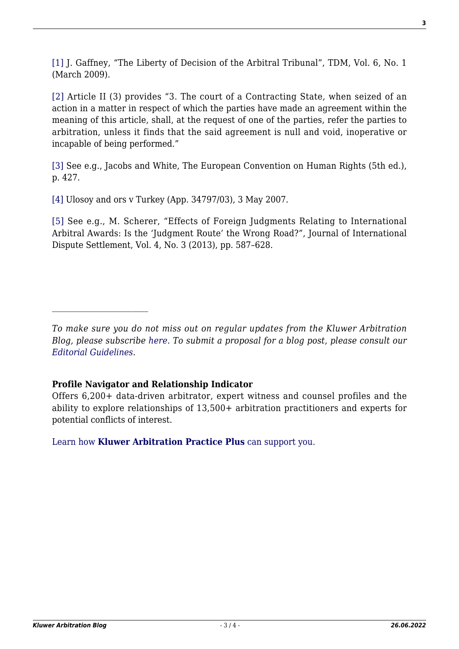<span id="page-2-0"></span>[\[1\]](#page-0-0) J. Gaffney, "The Liberty of Decision of the Arbitral Tribunal", TDM, Vol. 6, No. 1 (March 2009).

<span id="page-2-1"></span>[\[2\]](#page-0-1) Article II (3) provides "3. The court of a Contracting State, when seized of an action in a matter in respect of which the parties have made an agreement within the meaning of this article, shall, at the request of one of the parties, refer the parties to arbitration, unless it finds that the said agreement is null and void, inoperative or incapable of being performed."

<span id="page-2-2"></span>[\[3\]](#page-1-0) See e.g., Jacobs and White, The European Convention on Human Rights (5th ed.), p. 427.

<span id="page-2-3"></span>[\[4\]](#page-1-1) Ulosoy and ors v Turkey (App. 34797/03), 3 May 2007.

<span id="page-2-4"></span>[\[5\]](#page-1-2) See e.g., M. Scherer, "Effects of Foreign Judgments Relating to International Arbitral Awards: Is the 'Judgment Route' the Wrong Road?", Journal of International Dispute Settlement, Vol. 4, No. 3 (2013), pp. 587–628.

## **Profile Navigator and Relationship Indicator**

Offers 6,200+ data-driven arbitrator, expert witness and counsel profiles and the ability to explore relationships of 13,500+ arbitration practitioners and experts for potential conflicts of interest.

[Learn how](https://www.wolterskluwer.com/en/solutions/kluwerarbitration/practiceplus?utm_source=arbitrationblog&utm_medium=articleCTA&utm_campaign=article-banner) **[Kluwer Arbitration Practice Plus](https://www.wolterskluwer.com/en/solutions/kluwerarbitration/practiceplus?utm_source=arbitrationblog&utm_medium=articleCTA&utm_campaign=article-banner)** [can support you.](https://www.wolterskluwer.com/en/solutions/kluwerarbitration/practiceplus?utm_source=arbitrationblog&utm_medium=articleCTA&utm_campaign=article-banner)

*To make sure you do not miss out on regular updates from the Kluwer Arbitration Blog, please subscribe [here](http://arbitrationblog.kluwerarbitration.com/newsletter/). To submit a proposal for a blog post, please consult our [Editorial Guidelines.](http://arbitrationblog.kluwerarbitration.com/editorial-guidelines/)*